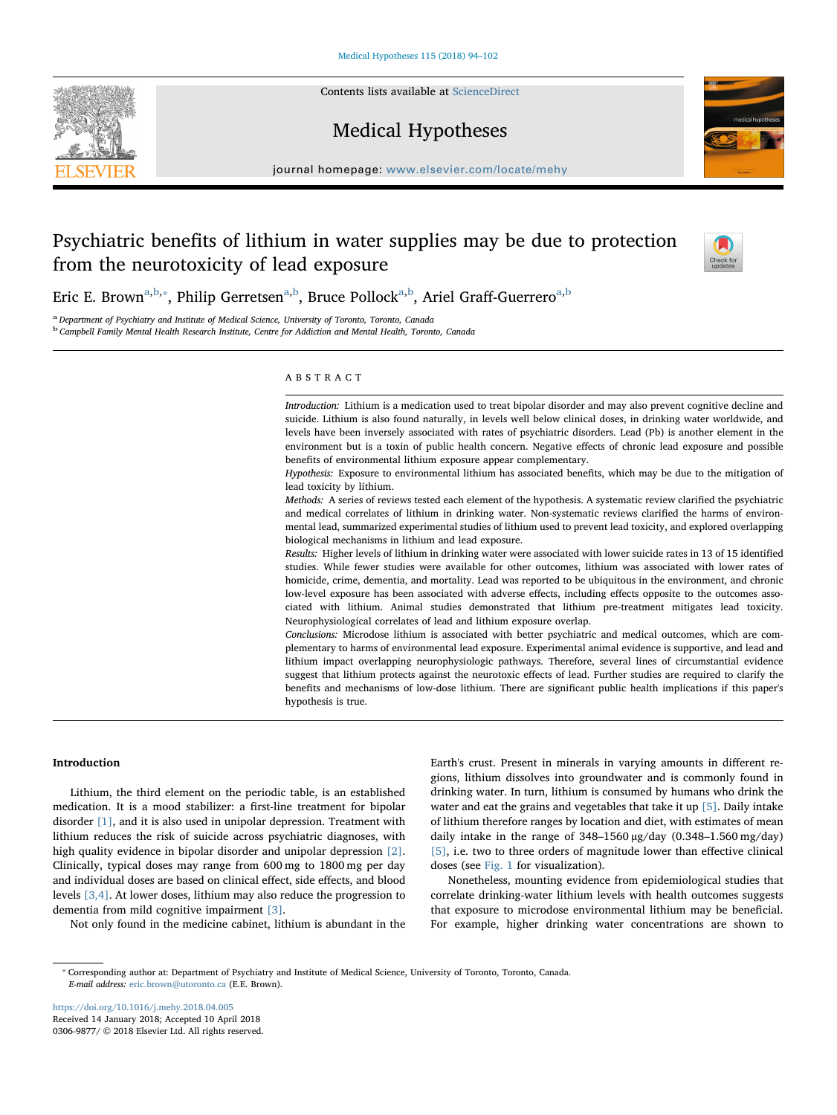Contents lists available at [ScienceDirect](http://www.sciencedirect.com/science/journal/03069877)







journal homepage: [www.elsevier.com/locate/mehy](https://www.elsevier.com/locate/mehy)/ $\frac{1}{\sqrt{N}}$ 

# Psychiatric benefits of lithium in water supplies may be due to protection from the neurotoxicity of lead exposure



Eric E. Brown<sup>[a,](#page-0-0)[b](#page-0-1),</sup>\*, Philip Gerretsen<sup>[a](#page-0-0)[,b](#page-0-1)</sup>, Bruce Pollock<sup>a,b</sup>, Ariel Graff-Guerrero<sup>a,b</sup>

<span id="page-0-0"></span><sup>a</sup> Department of Psychiatry and Institute of Medical Science, University of Toronto, Toronto, Canada

<span id="page-0-1"></span><sup>b</sup> Campbell Family Mental Health Research Institute, Centre for Addiction and Mental Health, Toronto, Canada

# ABSTRACT

Introduction: Lithium is a medication used to treat bipolar disorder and may also prevent cognitive decline and suicide. Lithium is also found naturally, in levels well below clinical doses, in drinking water worldwide, and levels have been inversely associated with rates of psychiatric disorders. Lead (Pb) is another element in the environment but is a toxin of public health concern. Negative effects of chronic lead exposure and possible benefits of environmental lithium exposure appear complementary.

Hypothesis: Exposure to environmental lithium has associated benefits, which may be due to the mitigation of lead toxicity by lithium.

Methods: A series of reviews tested each element of the hypothesis. A systematic review clarified the psychiatric and medical correlates of lithium in drinking water. Non-systematic reviews clarified the harms of environmental lead, summarized experimental studies of lithium used to prevent lead toxicity, and explored overlapping biological mechanisms in lithium and lead exposure.

Results: Higher levels of lithium in drinking water were associated with lower suicide rates in 13 of 15 identified studies. While fewer studies were available for other outcomes, lithium was associated with lower rates of homicide, crime, dementia, and mortality. Lead was reported to be ubiquitous in the environment, and chronic low-level exposure has been associated with adverse effects, including effects opposite to the outcomes associated with lithium. Animal studies demonstrated that lithium pre-treatment mitigates lead toxicity. Neurophysiological correlates of lead and lithium exposure overlap.

Conclusions: Microdose lithium is associated with better psychiatric and medical outcomes, which are complementary to harms of environmental lead exposure. Experimental animal evidence is supportive, and lead and lithium impact overlapping neurophysiologic pathways. Therefore, several lines of circumstantial evidence suggest that lithium protects against the neurotoxic effects of lead. Further studies are required to clarify the benefits and mechanisms of low-dose lithium. There are significant public health implications if this paper's hypothesis is true.

#### Introduction

Lithium, the third element on the periodic table, is an established medication. It is a mood stabilizer: a first-line treatment for bipolar disorder [\[1\]](#page-7-0), and it is also used in unipolar depression. Treatment with lithium reduces the risk of suicide across psychiatric diagnoses, with high quality evidence in bipolar disorder and unipolar depression [\[2\]](#page-7-1). Clinically, typical doses may range from 600 mg to 1800 mg per day and individual doses are based on clinical effect, side effects, and blood levels [\[3,4\].](#page-7-2) At lower doses, lithium may also reduce the progression to dementia from mild cognitive impairment [\[3\]](#page-7-2).

Not only found in the medicine cabinet, lithium is abundant in the

Earth's crust. Present in minerals in varying amounts in different regions, lithium dissolves into groundwater and is commonly found in drinking water. In turn, lithium is consumed by humans who drink the water and eat the grains and vegetables that take it up [\[5\].](#page-7-3) Daily intake of lithium therefore ranges by location and diet, with estimates of mean daily intake in the range of 348–1560 µg/day (0.348–1.560 mg/day) [\[5\],](#page-7-3) i.e. two to three orders of magnitude lower than effective clinical doses (see [Fig. 1](#page-1-0) for visualization).

Nonetheless, mounting evidence from epidemiological studies that correlate drinking-water lithium levels with health outcomes suggests that exposure to microdose environmental lithium may be beneficial. For example, higher drinking water concentrations are shown to

<https://doi.org/10.1016/j.mehy.2018.04.005> Received 14 January 2018; Accepted 10 April 2018 0306-9877/ © 2018 Elsevier Ltd. All rights reserved.

<span id="page-0-2"></span><sup>⁎</sup> Corresponding author at: Department of Psychiatry and Institute of Medical Science, University of Toronto, Toronto, Canada. E-mail address: [eric.brown@utoronto.ca](mailto:eric.brown@utoronto.ca) (E.E. Brown).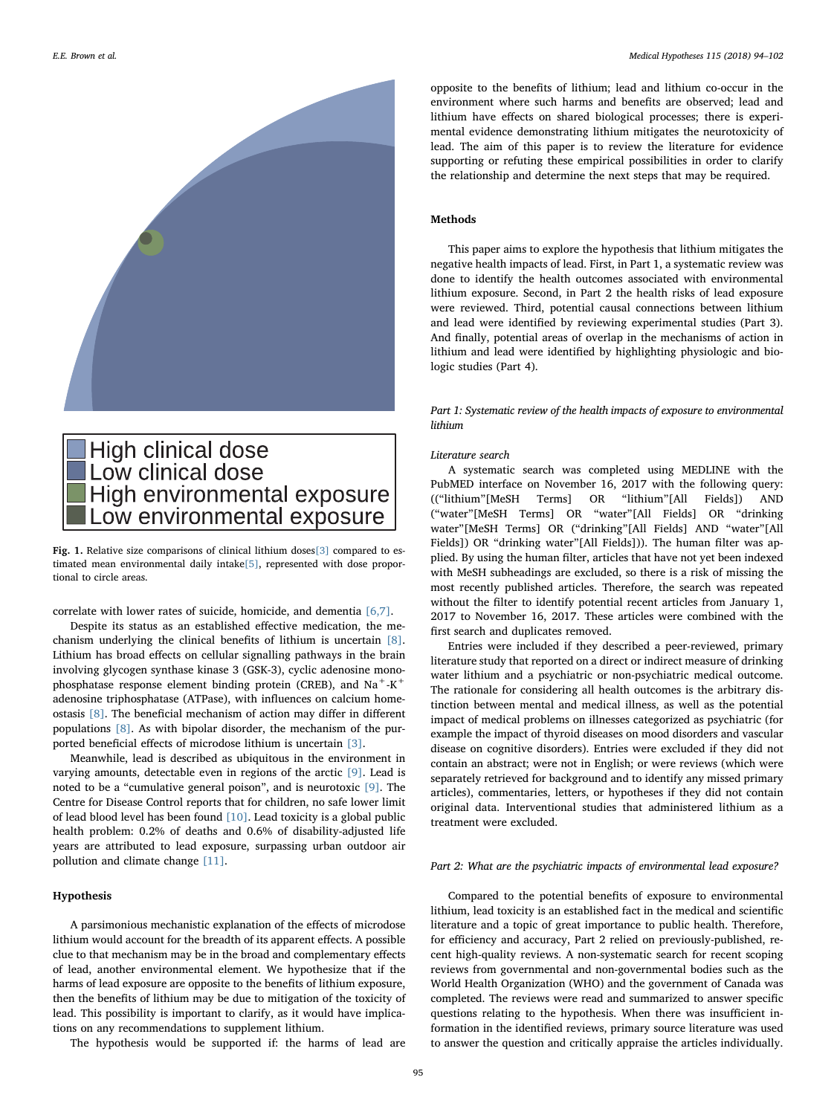<span id="page-1-0"></span>

# High clinical dose Low clinical dose High environmental exposure Low environmental exposure

Fig. 1. Relative size comparisons of clinical lithium doses<sup>[3]</sup> compared to estimated mean environmental daily intak[e\[5\]](#page-7-3), represented with dose proportional to circle areas.

correlate with lower rates of suicide, homicide, and dementia [\[6,7\]](#page-7-4).

Despite its status as an established effective medication, the mechanism underlying the clinical benefits of lithium is uncertain [\[8\]](#page-7-5). Lithium has broad effects on cellular signalling pathways in the brain involving glycogen synthase kinase 3 (GSK-3), cyclic adenosine monophosphatase response element binding protein (CREB), and  $Na^+ - K^+$ adenosine triphosphatase (ATPase), with influences on calcium homeostasis [\[8\].](#page-7-5) The beneficial mechanism of action may differ in different populations [\[8\]](#page-7-5). As with bipolar disorder, the mechanism of the purported beneficial effects of microdose lithium is uncertain [\[3\]](#page-7-2).

Meanwhile, lead is described as ubiquitous in the environment in varying amounts, detectable even in regions of the arctic [\[9\]](#page-7-6). Lead is noted to be a "cumulative general poison", and is neurotoxic [\[9\]](#page-7-6). The Centre for Disease Control reports that for children, no safe lower limit of lead blood level has been found [\[10\]](#page-8-0). Lead toxicity is a global public health problem: 0.2% of deaths and 0.6% of disability-adjusted life years are attributed to lead exposure, surpassing urban outdoor air pollution and climate change [\[11\].](#page-8-1)

# Hypothesis

A parsimonious mechanistic explanation of the effects of microdose lithium would account for the breadth of its apparent effects. A possible clue to that mechanism may be in the broad and complementary effects of lead, another environmental element. We hypothesize that if the harms of lead exposure are opposite to the benefits of lithium exposure, then the benefits of lithium may be due to mitigation of the toxicity of lead. This possibility is important to clarify, as it would have implications on any recommendations to supplement lithium.

The hypothesis would be supported if: the harms of lead are

opposite to the benefits of lithium; lead and lithium co-occur in the environment where such harms and benefits are observed; lead and lithium have effects on shared biological processes; there is experimental evidence demonstrating lithium mitigates the neurotoxicity of lead. The aim of this paper is to review the literature for evidence supporting or refuting these empirical possibilities in order to clarify the relationship and determine the next steps that may be required.

# Methods

This paper aims to explore the hypothesis that lithium mitigates the negative health impacts of lead. First, in Part 1, a systematic review was done to identify the health outcomes associated with environmental lithium exposure. Second, in Part 2 the health risks of lead exposure were reviewed. Third, potential causal connections between lithium and lead were identified by reviewing experimental studies (Part 3). And finally, potential areas of overlap in the mechanisms of action in lithium and lead were identified by highlighting physiologic and biologic studies (Part 4).

Part 1: Systematic review of the health impacts of exposure to environmental lithium

#### Literature search

A systematic search was completed using MEDLINE with the PubMED interface on November 16, 2017 with the following query: (("lithium"[MeSH Terms] OR "lithium"[All Fields]) AND ("water"[MeSH Terms] OR "water"[All Fields] OR "drinking water"[MeSH Terms] OR ("drinking"[All Fields] AND "water"[All Fields]) OR "drinking water"[All Fields])). The human filter was applied. By using the human filter, articles that have not yet been indexed with MeSH subheadings are excluded, so there is a risk of missing the most recently published articles. Therefore, the search was repeated without the filter to identify potential recent articles from January 1, 2017 to November 16, 2017. These articles were combined with the first search and duplicates removed.

Entries were included if they described a peer-reviewed, primary literature study that reported on a direct or indirect measure of drinking water lithium and a psychiatric or non-psychiatric medical outcome. The rationale for considering all health outcomes is the arbitrary distinction between mental and medical illness, as well as the potential impact of medical problems on illnesses categorized as psychiatric (for example the impact of thyroid diseases on mood disorders and vascular disease on cognitive disorders). Entries were excluded if they did not contain an abstract; were not in English; or were reviews (which were separately retrieved for background and to identify any missed primary articles), commentaries, letters, or hypotheses if they did not contain original data. Interventional studies that administered lithium as a treatment were excluded.

# Part 2: What are the psychiatric impacts of environmental lead exposure?

Compared to the potential benefits of exposure to environmental lithium, lead toxicity is an established fact in the medical and scientific literature and a topic of great importance to public health. Therefore, for efficiency and accuracy, Part 2 relied on previously-published, recent high-quality reviews. A non-systematic search for recent scoping reviews from governmental and non-governmental bodies such as the World Health Organization (WHO) and the government of Canada was completed. The reviews were read and summarized to answer specific questions relating to the hypothesis. When there was insufficient information in the identified reviews, primary source literature was used to answer the question and critically appraise the articles individually.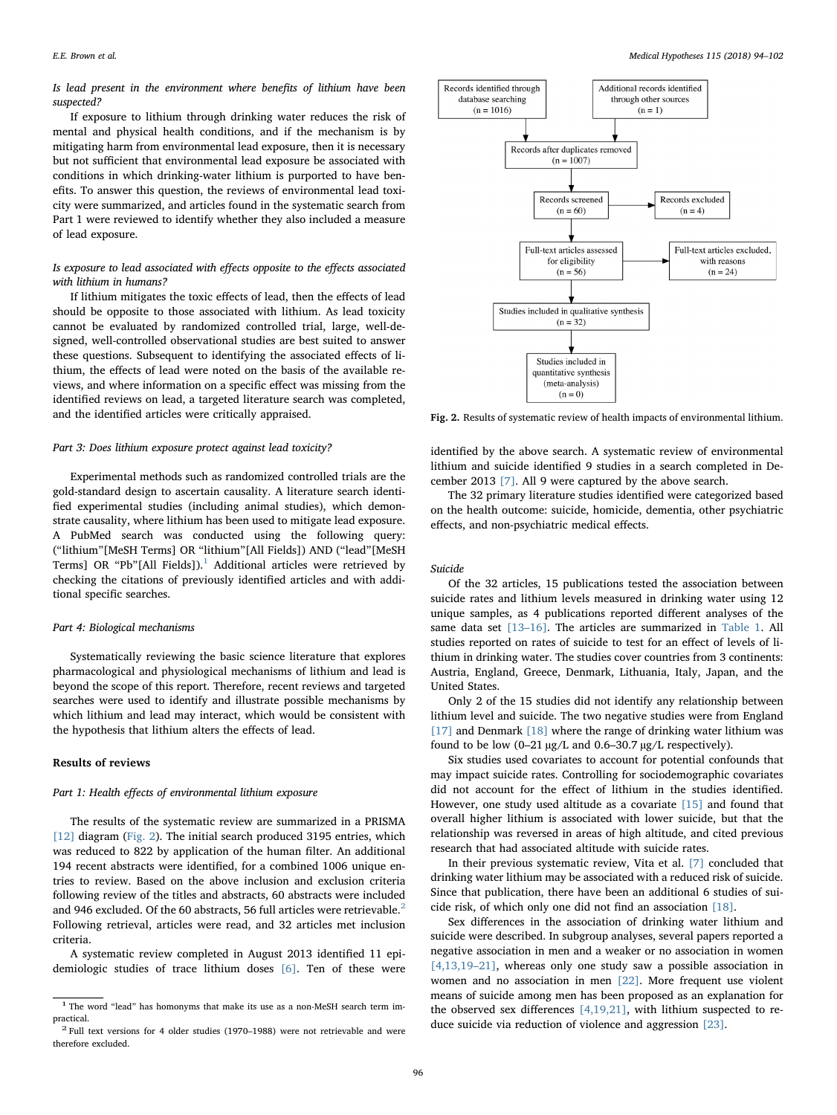Is lead present in the environment where benefits of lithium have been suspected?

If exposure to lithium through drinking water reduces the risk of mental and physical health conditions, and if the mechanism is by mitigating harm from environmental lead exposure, then it is necessary but not sufficient that environmental lead exposure be associated with conditions in which drinking-water lithium is purported to have benefits. To answer this question, the reviews of environmental lead toxicity were summarized, and articles found in the systematic search from Part 1 were reviewed to identify whether they also included a measure of lead exposure.

# Is exposure to lead associated with effects opposite to the effects associated with lithium in humans?

If lithium mitigates the toxic effects of lead, then the effects of lead should be opposite to those associated with lithium. As lead toxicity cannot be evaluated by randomized controlled trial, large, well-designed, well-controlled observational studies are best suited to answer these questions. Subsequent to identifying the associated effects of lithium, the effects of lead were noted on the basis of the available reviews, and where information on a specific effect was missing from the identified reviews on lead, a targeted literature search was completed, and the identified articles were critically appraised.

## Part 3: Does lithium exposure protect against lead toxicity?

Experimental methods such as randomized controlled trials are the gold-standard design to ascertain causality. A literature search identified experimental studies (including animal studies), which demonstrate causality, where lithium has been used to mitigate lead exposure. A PubMed search was conducted using the following query: ("lithium"[MeSH Terms] OR "lithium"[All Fields]) AND ("lead"[MeSH Terms] OR "Pb"[All Fields]).<sup>[1](#page-2-0)</sup> Additional articles were retrieved by checking the citations of previously identified articles and with additional specific searches.

## Part 4: Biological mechanisms

Systematically reviewing the basic science literature that explores pharmacological and physiological mechanisms of lithium and lead is beyond the scope of this report. Therefore, recent reviews and targeted searches were used to identify and illustrate possible mechanisms by which lithium and lead may interact, which would be consistent with the hypothesis that lithium alters the effects of lead.

#### Results of reviews

# Part 1: Health effects of environmental lithium exposure

The results of the systematic review are summarized in a PRISMA [\[12\]](#page-8-2) diagram [\(Fig. 2\)](#page-2-1). The initial search produced 3195 entries, which was reduced to 822 by application of the human filter. An additional 194 recent abstracts were identified, for a combined 1006 unique entries to review. Based on the above inclusion and exclusion criteria following review of the titles and abstracts, 60 abstracts were included and 946 excluded. Of the 60 abstracts, 56 full articles were retrievable.<sup>[2](#page-2-2)</sup> Following retrieval, articles were read, and 32 articles met inclusion criteria.

A systematic review completed in August 2013 identified 11 epidemiologic studies of trace lithium doses [\[6\]](#page-7-4). Ten of these were

<span id="page-2-1"></span>

Fig. 2. Results of systematic review of health impacts of environmental lithium.

identified by the above search. A systematic review of environmental lithium and suicide identified 9 studies in a search completed in December 2013 [\[7\].](#page-7-7) All 9 were captured by the above search.

The 32 primary literature studies identified were categorized based on the health outcome: suicide, homicide, dementia, other psychiatric effects, and non-psychiatric medical effects.

## Suicide

Of the 32 articles, 15 publications tested the association between suicide rates and lithium levels measured in drinking water using 12 unique samples, as 4 publications reported different analyses of the same data set [\[13](#page-8-3)–16]. The articles are summarized in [Table 1.](#page-3-0) All studies reported on rates of suicide to test for an effect of levels of lithium in drinking water. The studies cover countries from 3 continents: Austria, England, Greece, Denmark, Lithuania, Italy, Japan, and the United States.

Only 2 of the 15 studies did not identify any relationship between lithium level and suicide. The two negative studies were from England [\[17\]](#page-8-4) and Denmark [\[18\]](#page-8-5) where the range of drinking water lithium was found to be low  $(0-21 \mu g/L$  and  $0.6-30.7 \mu g/L$  respectively).

Six studies used covariates to account for potential confounds that may impact suicide rates. Controlling for sociodemographic covariates did not account for the effect of lithium in the studies identified. However, one study used altitude as a covariate [\[15\]](#page-8-6) and found that overall higher lithium is associated with lower suicide, but that the relationship was reversed in areas of high altitude, and cited previous research that had associated altitude with suicide rates.

In their previous systematic review, Vita et al. [\[7\]](#page-7-7) concluded that drinking water lithium may be associated with a reduced risk of suicide. Since that publication, there have been an additional 6 studies of suicide risk, of which only one did not find an association [\[18\]](#page-8-5).

Sex differences in the association of drinking water lithium and suicide were described. In subgroup analyses, several papers reported a negative association in men and a weaker or no association in women [\[4,13,19](#page-7-8)-21], whereas only one study saw a possible association in women and no association in men [\[22\]](#page-8-7). More frequent use violent means of suicide among men has been proposed as an explanation for the observed sex differences  $[4,19,21]$ , with lithium suspected to reduce suicide via reduction of violence and aggression [\[23\].](#page-8-8)

<span id="page-2-0"></span><sup>1</sup> The word "lead" has homonyms that make its use as a non-MeSH search term impractical.  $$\rm ^2$  Full text versions for 4 older studies (1970–1988) were not retrievable and were

<span id="page-2-2"></span>therefore excluded.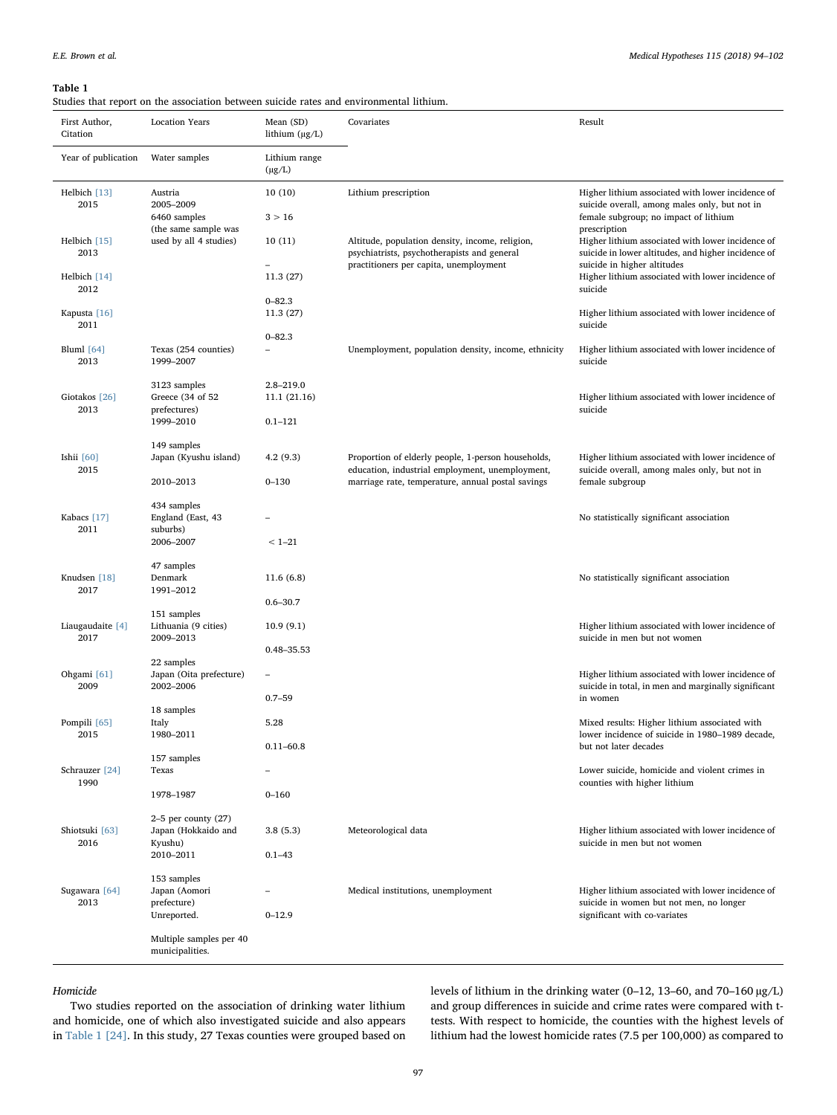## <span id="page-3-0"></span>Table 1

Studies that report on the association between suicide rates and environmental lithium.

| First Author,<br>Citation | <b>Location Years</b>                                                  | Mean (SD)<br>lithium $(\mu g/L)$ | Covariates                                                                                                                                                 | Result                                                                                                                                                  |
|---------------------------|------------------------------------------------------------------------|----------------------------------|------------------------------------------------------------------------------------------------------------------------------------------------------------|---------------------------------------------------------------------------------------------------------------------------------------------------------|
| Year of publication       | Water samples                                                          | Lithium range<br>$(\mu g/L)$     |                                                                                                                                                            |                                                                                                                                                         |
| Helbich [13]<br>2015      | Austria<br>2005-2009<br>6460 samples                                   | 10(10)<br>3 > 16                 | Lithium prescription                                                                                                                                       | Higher lithium associated with lower incidence of<br>suicide overall, among males only, but not in<br>female subgroup; no impact of lithium             |
| Helbich [15]<br>2013      | (the same sample was<br>used by all 4 studies)                         | 10(11)                           | Altitude, population density, income, religion,<br>psychiatrists, psychotherapists and general<br>practitioners per capita, unemployment                   | prescription<br>Higher lithium associated with lower incidence of<br>suicide in lower altitudes, and higher incidence of<br>suicide in higher altitudes |
| Helbich [14]<br>2012      |                                                                        | 11.3(27)<br>$0 - 82.3$           |                                                                                                                                                            | Higher lithium associated with lower incidence of<br>suicide                                                                                            |
| Kapusta [16]<br>2011      |                                                                        | 11.3(27)<br>$0 - 82.3$           |                                                                                                                                                            | Higher lithium associated with lower incidence of<br>suicide                                                                                            |
| Bluml $[64]$<br>2013      | Texas (254 counties)<br>1999-2007                                      |                                  | Unemployment, population density, income, ethnicity                                                                                                        | Higher lithium associated with lower incidence of<br>suicide                                                                                            |
| Giotakos [26]<br>2013     | 3123 samples<br>Greece (34 of 52<br>prefectures)                       | $2.8 - 219.0$<br>11.1 (21.16)    |                                                                                                                                                            | Higher lithium associated with lower incidence of<br>suicide                                                                                            |
| Ishii [60]<br>2015        | 1999-2010<br>149 samples<br>Japan (Kyushu island)                      | $0.1 - 121$<br>4.2(9.3)          | Proportion of elderly people, 1-person households,<br>education, industrial employment, unemployment,<br>marriage rate, temperature, annual postal savings | Higher lithium associated with lower incidence of<br>suicide overall, among males only, but not in<br>female subgroup                                   |
|                           | 2010-2013                                                              | $0 - 130$                        |                                                                                                                                                            |                                                                                                                                                         |
| Kabacs [17]<br>2011       | 434 samples<br>England (East, 43<br>suburbs)<br>2006-2007              | $< 1 - 21$                       |                                                                                                                                                            | No statistically significant association                                                                                                                |
| Knudsen [18]<br>2017      | 47 samples<br>Denmark<br>1991-2012                                     | 11.6(6.8)<br>$0.6 - 30.7$        |                                                                                                                                                            | No statistically significant association                                                                                                                |
| Liaugaudaite [4]<br>2017  | 151 samples<br>Lithuania (9 cities)<br>2009-2013                       | 10.9(9.1)<br>0.48-35.53          |                                                                                                                                                            | Higher lithium associated with lower incidence of<br>suicide in men but not women                                                                       |
| Ohgami [61]<br>2009       | 22 samples<br>Japan (Oita prefecture)<br>2002-2006                     | $0.7 - 59$                       |                                                                                                                                                            | Higher lithium associated with lower incidence of<br>suicide in total, in men and marginally significant<br>in women                                    |
| Pompili [65]<br>2015      | 18 samples<br>Italy<br>1980-2011                                       | 5.28<br>$0.11 - 60.8$            |                                                                                                                                                            | Mixed results: Higher lithium associated with<br>lower incidence of suicide in 1980-1989 decade,<br>but not later decades                               |
| Schrauzer [24]<br>1990    | 157 samples<br>Texas                                                   |                                  |                                                                                                                                                            | Lower suicide, homicide and violent crimes in<br>counties with higher lithium                                                                           |
|                           | 1978-1987                                                              | $0 - 160$                        |                                                                                                                                                            |                                                                                                                                                         |
| Shiotsuki [63]<br>2016    | $2-5$ per county $(27)$<br>Japan (Hokkaido and<br>Kyushu)<br>2010-2011 | 3.8(5.3)<br>$0.1 - 43$           | Meteorological data                                                                                                                                        | Higher lithium associated with lower incidence of<br>suicide in men but not women                                                                       |
| Sugawara [64]<br>2013     | 153 samples<br>Japan (Aomori<br>prefecture)<br>Unreported.             | $0 - 12.9$                       | Medical institutions, unemployment                                                                                                                         | Higher lithium associated with lower incidence of<br>suicide in women but not men, no longer<br>significant with co-variates                            |
|                           | Multiple samples per 40<br>municipalities.                             |                                  |                                                                                                                                                            |                                                                                                                                                         |

# Homicide

Two studies reported on the association of drinking water lithium and homicide, one of which also investigated suicide and also appears in [Table 1](#page-3-0) [\[24\].](#page-8-9) In this study, 27 Texas counties were grouped based on levels of lithium in the drinking water (0–12, 13–60, and 70–160 µg/L) and group differences in suicide and crime rates were compared with ttests. With respect to homicide, the counties with the highest levels of lithium had the lowest homicide rates (7.5 per 100,000) as compared to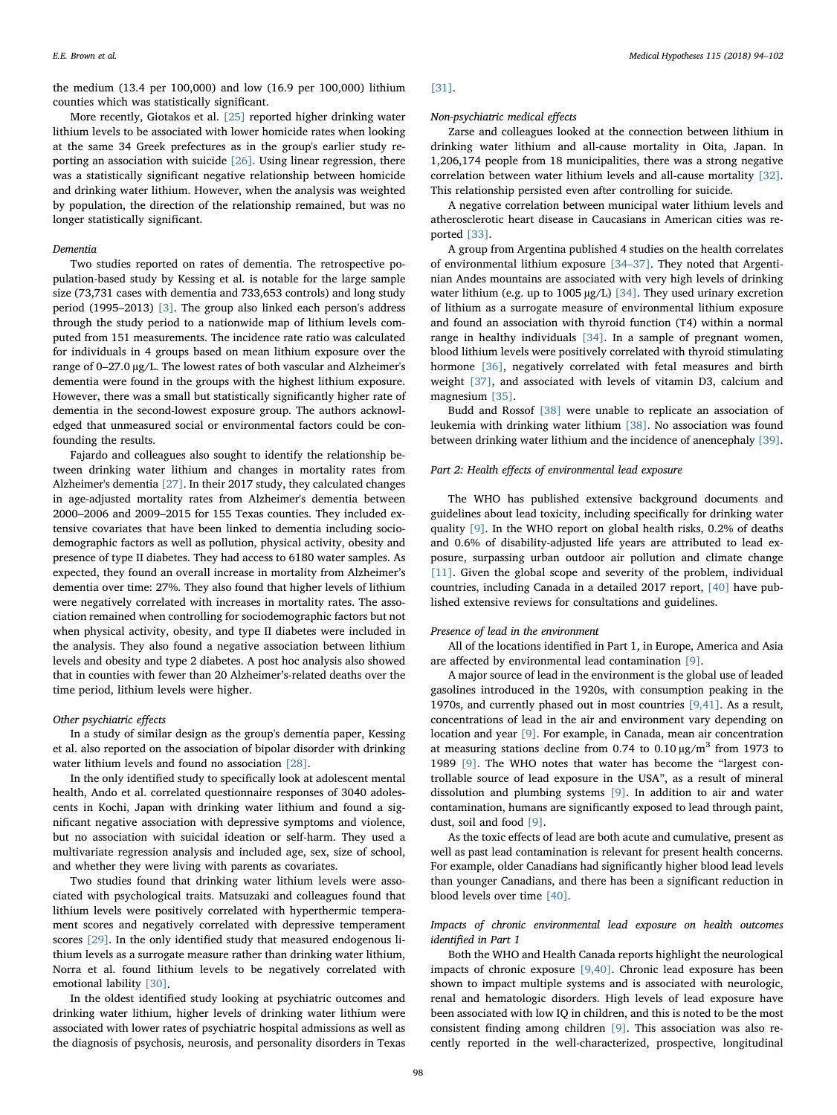the medium (13.4 per 100,000) and low (16.9 per 100,000) lithium counties which was statistically significant.

More recently, Giotakos et al. [\[25\]](#page-8-18) reported higher drinking water lithium levels to be associated with lower homicide rates when looking at the same 34 Greek prefectures as in the group's earlier study reporting an association with suicide [\[26\].](#page-8-13) Using linear regression, there was a statistically significant negative relationship between homicide and drinking water lithium. However, when the analysis was weighted by population, the direction of the relationship remained, but was no longer statistically significant.

#### Dementia

Two studies reported on rates of dementia. The retrospective population-based study by Kessing et al. is notable for the large sample size (73,731 cases with dementia and 733,653 controls) and long study period (1995–2013) [\[3\].](#page-7-2) The group also linked each person's address through the study period to a nationwide map of lithium levels computed from 151 measurements. The incidence rate ratio was calculated for individuals in 4 groups based on mean lithium exposure over the range of 0–27.0 µg/L. The lowest rates of both vascular and Alzheimer's dementia were found in the groups with the highest lithium exposure. However, there was a small but statistically significantly higher rate of dementia in the second-lowest exposure group. The authors acknowledged that unmeasured social or environmental factors could be confounding the results.

Fajardo and colleagues also sought to identify the relationship between drinking water lithium and changes in mortality rates from Alzheimer's dementia [\[27\].](#page-8-19) In their 2017 study, they calculated changes in age-adjusted mortality rates from Alzheimer's dementia between 2000–2006 and 2009–2015 for 155 Texas counties. They included extensive covariates that have been linked to dementia including sociodemographic factors as well as pollution, physical activity, obesity and presence of type II diabetes. They had access to 6180 water samples. As expected, they found an overall increase in mortality from Alzheimer's dementia over time: 27%. They also found that higher levels of lithium were negatively correlated with increases in mortality rates. The association remained when controlling for sociodemographic factors but not when physical activity, obesity, and type II diabetes were included in the analysis. They also found a negative association between lithium levels and obesity and type 2 diabetes. A post hoc analysis also showed that in counties with fewer than 20 Alzheimer's-related deaths over the time period, lithium levels were higher.

#### Other psychiatric effects

In a study of similar design as the group's dementia paper, Kessing et al. also reported on the association of bipolar disorder with drinking water lithium levels and found no association [\[28\]](#page-8-20).

In the only identified study to specifically look at adolescent mental health, Ando et al. correlated questionnaire responses of 3040 adolescents in Kochi, Japan with drinking water lithium and found a significant negative association with depressive symptoms and violence, but no association with suicidal ideation or self-harm. They used a multivariate regression analysis and included age, sex, size of school, and whether they were living with parents as covariates.

Two studies found that drinking water lithium levels were associated with psychological traits. Matsuzaki and colleagues found that lithium levels were positively correlated with hyperthermic temperament scores and negatively correlated with depressive temperament scores [\[29\]](#page-8-21). In the only identified study that measured endogenous lithium levels as a surrogate measure rather than drinking water lithium, Norra et al. found lithium levels to be negatively correlated with emotional lability [\[30\]](#page-8-22).

In the oldest identified study looking at psychiatric outcomes and drinking water lithium, higher levels of drinking water lithium were associated with lower rates of psychiatric hospital admissions as well as the diagnosis of psychosis, neurosis, and personality disorders in Texas

# [\[31\]](#page-8-23).

### Non-psychiatric medical effects

Zarse and colleagues looked at the connection between lithium in drinking water lithium and all-cause mortality in Oita, Japan. In 1,206,174 people from 18 municipalities, there was a strong negative correlation between water lithium levels and all-cause mortality [\[32\]](#page-8-24). This relationship persisted even after controlling for suicide.

A negative correlation between municipal water lithium levels and atherosclerotic heart disease in Caucasians in American cities was reported [\[33\].](#page-8-25)

A group from Argentina published 4 studies on the health correlates of environmental lithium exposure [34–[37\]](#page-8-26). They noted that Argentinian Andes mountains are associated with very high levels of drinking water lithium (e.g. up to 1005 µg/L) [\[34\]](#page-8-26). They used urinary excretion of lithium as a surrogate measure of environmental lithium exposure and found an association with thyroid function (T4) within a normal range in healthy individuals [\[34\].](#page-8-26) In a sample of pregnant women, blood lithium levels were positively correlated with thyroid stimulating hormone [\[36\]](#page-8-27), negatively correlated with fetal measures and birth weight [\[37\]](#page-8-28), and associated with levels of vitamin D3, calcium and magnesium [\[35\]](#page-8-29).

Budd and Rossof [\[38\]](#page-8-30) were unable to replicate an association of leukemia with drinking water lithium [\[38\].](#page-8-30) No association was found between drinking water lithium and the incidence of anencephaly [\[39\]](#page-8-31).

#### Part 2: Health effects of environmental lead exposure

The WHO has published extensive background documents and guidelines about lead toxicity, including specifically for drinking water quality [\[9\]](#page-7-6). In the WHO report on global health risks, 0.2% of deaths and 0.6% of disability-adjusted life years are attributed to lead exposure, surpassing urban outdoor air pollution and climate change [\[11\]](#page-8-1). Given the global scope and severity of the problem, individual countries, including Canada in a detailed 2017 report, [\[40\]](#page-8-32) have published extensive reviews for consultations and guidelines.

## Presence of lead in the environment

All of the locations identified in Part 1, in Europe, America and Asia are affected by environmental lead contamination [\[9\].](#page-7-6)

A major source of lead in the environment is the global use of leaded gasolines introduced in the 1920s, with consumption peaking in the 1970s, and currently phased out in most countries [\[9,41\]](#page-7-6). As a result, concentrations of lead in the air and environment vary depending on location and year [\[9\].](#page-7-6) For example, in Canada, mean air concentration at measuring stations decline from 0.74 to  $0.10 \,\mu\text{g/m}^3$  from 1973 to 1989 [\[9\].](#page-7-6) The WHO notes that water has become the "largest controllable source of lead exposure in the USA", as a result of mineral dissolution and plumbing systems [\[9\].](#page-7-6) In addition to air and water contamination, humans are significantly exposed to lead through paint, dust, soil and food [\[9\].](#page-7-6)

As the toxic effects of lead are both acute and cumulative, present as well as past lead contamination is relevant for present health concerns. For example, older Canadians had significantly higher blood lead levels than younger Canadians, and there has been a significant reduction in blood levels over time [\[40\]](#page-8-32).

# Impacts of chronic environmental lead exposure on health outcomes identified in Part 1

Both the WHO and Health Canada reports highlight the neurological impacts of chronic exposure [\[9,40\]](#page-7-6). Chronic lead exposure has been shown to impact multiple systems and is associated with neurologic, renal and hematologic disorders. High levels of lead exposure have been associated with low IQ in children, and this is noted to be the most consistent finding among children [\[9\]](#page-7-6). This association was also recently reported in the well-characterized, prospective, longitudinal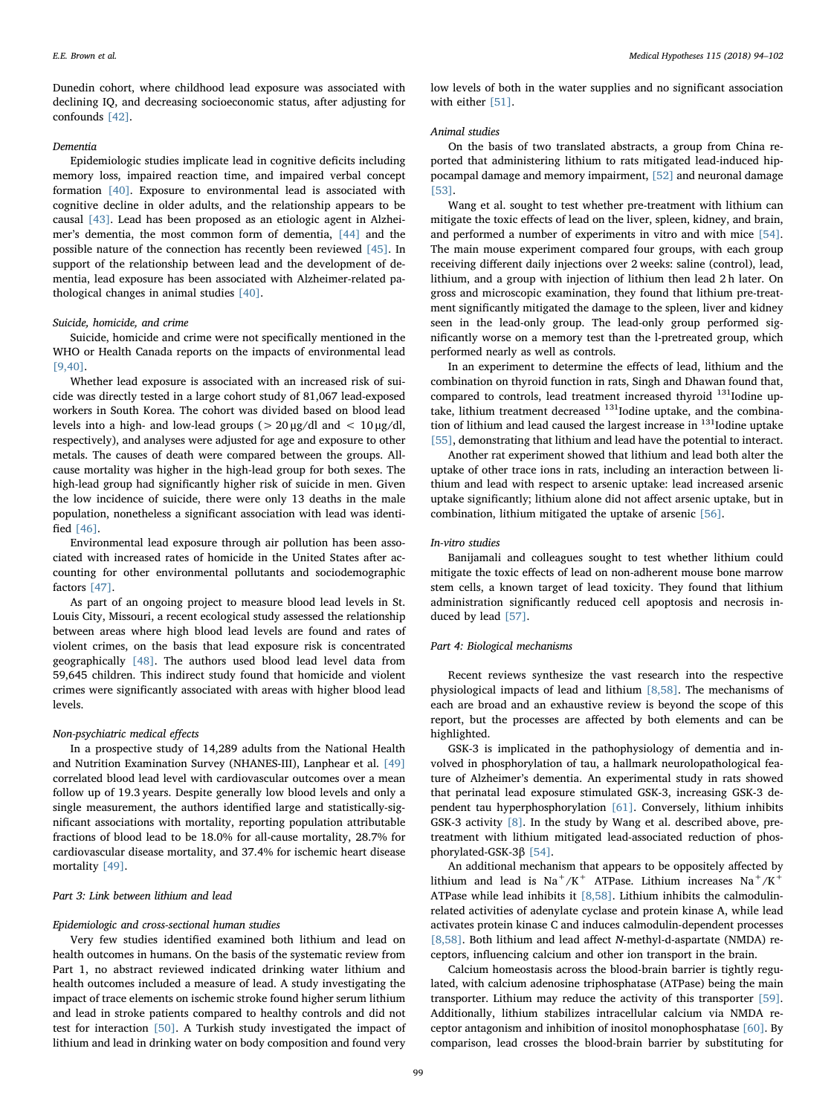Dunedin cohort, where childhood lead exposure was associated with declining IQ, and decreasing socioeconomic status, after adjusting for confounds [\[42\]](#page-8-33).

#### Dementia

Epidemiologic studies implicate lead in cognitive deficits including memory loss, impaired reaction time, and impaired verbal concept formation [\[40\].](#page-8-32) Exposure to environmental lead is associated with cognitive decline in older adults, and the relationship appears to be causal [\[43\].](#page-8-34) Lead has been proposed as an etiologic agent in Alzheimer's dementia, the most common form of dementia, [\[44\]](#page-8-35) and the possible nature of the connection has recently been reviewed [\[45\]](#page-8-36). In support of the relationship between lead and the development of dementia, lead exposure has been associated with Alzheimer-related pathological changes in animal studies [\[40\]](#page-8-32).

# Suicide, homicide, and crime

Suicide, homicide and crime were not specifically mentioned in the WHO or Health Canada reports on the impacts of environmental lead [\[9,40\]](#page-7-6).

Whether lead exposure is associated with an increased risk of suicide was directly tested in a large cohort study of 81,067 lead-exposed workers in South Korea. The cohort was divided based on blood lead levels into a high- and low-lead groups (> 20 μg/dl and < 10 μg/dl, respectively), and analyses were adjusted for age and exposure to other metals. The causes of death were compared between the groups. Allcause mortality was higher in the high-lead group for both sexes. The high-lead group had significantly higher risk of suicide in men. Given the low incidence of suicide, there were only 13 deaths in the male population, nonetheless a significant association with lead was identified [\[46\]](#page-8-37).

Environmental lead exposure through air pollution has been associated with increased rates of homicide in the United States after accounting for other environmental pollutants and sociodemographic factors [\[47\].](#page-8-38)

As part of an ongoing project to measure blood lead levels in St. Louis City, Missouri, a recent ecological study assessed the relationship between areas where high blood lead levels are found and rates of violent crimes, on the basis that lead exposure risk is concentrated geographically [\[48\].](#page-8-39) The authors used blood lead level data from 59,645 children. This indirect study found that homicide and violent crimes were significantly associated with areas with higher blood lead levels.

#### Non-psychiatric medical effects

In a prospective study of 14,289 adults from the National Health and Nutrition Examination Survey (NHANES-III), Lanphear et al. [\[49\]](#page-8-40) correlated blood lead level with cardiovascular outcomes over a mean follow up of 19.3 years. Despite generally low blood levels and only a single measurement, the authors identified large and statistically-significant associations with mortality, reporting population attributable fractions of blood lead to be 18.0% for all-cause mortality, 28.7% for cardiovascular disease mortality, and 37.4% for ischemic heart disease mortality [\[49\].](#page-8-40)

### Part 3: Link between lithium and lead

## Epidemiologic and cross-sectional human studies

Very few studies identified examined both lithium and lead on health outcomes in humans. On the basis of the systematic review from Part 1, no abstract reviewed indicated drinking water lithium and health outcomes included a measure of lead. A study investigating the impact of trace elements on ischemic stroke found higher serum lithium and lead in stroke patients compared to healthy controls and did not test for interaction [\[50\]](#page-8-41). A Turkish study investigated the impact of lithium and lead in drinking water on body composition and found very

low levels of both in the water supplies and no significant association with either [\[51\]](#page-8-42).

# Animal studies

On the basis of two translated abstracts, a group from China reported that administering lithium to rats mitigated lead-induced hippocampal damage and memory impairment, [\[52\]](#page-8-43) and neuronal damage [\[53\]](#page-8-44).

Wang et al. sought to test whether pre-treatment with lithium can mitigate the toxic effects of lead on the liver, spleen, kidney, and brain, and performed a number of experiments in vitro and with mice [\[54\]](#page-8-45). The main mouse experiment compared four groups, with each group receiving different daily injections over 2 weeks: saline (control), lead, lithium, and a group with injection of lithium then lead 2 h later. On gross and microscopic examination, they found that lithium pre-treatment significantly mitigated the damage to the spleen, liver and kidney seen in the lead-only group. The lead-only group performed significantly worse on a memory test than the l-pretreated group, which performed nearly as well as controls.

In an experiment to determine the effects of lead, lithium and the combination on thyroid function in rats, Singh and Dhawan found that, compared to controls, lead treatment increased thyroid <sup>131</sup>Iodine uptake, lithium treatment decreased <sup>131</sup>Iodine uptake, and the combination of lithium and lead caused the largest increase in <sup>131</sup>Iodine uptake [\[55\]](#page-8-46), demonstrating that lithium and lead have the potential to interact.

Another rat experiment showed that lithium and lead both alter the uptake of other trace ions in rats, including an interaction between lithium and lead with respect to arsenic uptake: lead increased arsenic uptake significantly; lithium alone did not affect arsenic uptake, but in combination, lithium mitigated the uptake of arsenic [\[56\].](#page-8-47)

# In-vitro studies

Banijamali and colleagues sought to test whether lithium could mitigate the toxic effects of lead on non-adherent mouse bone marrow stem cells, a known target of lead toxicity. They found that lithium administration significantly reduced cell apoptosis and necrosis induced by lead [\[57\].](#page-8-48)

# Part 4: Biological mechanisms

Recent reviews synthesize the vast research into the respective physiological impacts of lead and lithium [\[8,58\].](#page-7-5) The mechanisms of each are broad and an exhaustive review is beyond the scope of this report, but the processes are affected by both elements and can be highlighted.

GSK-3 is implicated in the pathophysiology of dementia and involved in phosphorylation of tau, a hallmark neurolopathological feature of Alzheimer's dementia. An experimental study in rats showed that perinatal lead exposure stimulated GSK-3, increasing GSK-3 dependent tau hyperphosphorylation [\[61\]](#page-8-15). Conversely, lithium inhibits GSK-3 activity [\[8\]](#page-7-5). In the study by Wang et al. described above, pretreatment with lithium mitigated lead-associated reduction of phosphorylated-GSK-3β [\[54\]](#page-8-45).

An additional mechanism that appears to be oppositely affected by lithium and lead is Na<sup>+</sup>/K<sup>+</sup> ATPase. Lithium increases Na<sup>+</sup>/K<sup>+</sup> ATPase while lead inhibits it [\[8,58\].](#page-7-5) Lithium inhibits the calmodulinrelated activities of adenylate cyclase and protein kinase A, while lead activates protein kinase C and induces calmodulin-dependent processes [\[8,58\]](#page-7-5). Both lithium and lead affect N-methyl-d-aspartate (NMDA) receptors, influencing calcium and other ion transport in the brain.

Calcium homeostasis across the blood-brain barrier is tightly regulated, with calcium adenosine triphosphatase (ATPase) being the main transporter. Lithium may reduce the activity of this transporter [\[59\]](#page-8-49). Additionally, lithium stabilizes intracellular calcium via NMDA receptor antagonism and inhibition of inositol monophosphatase [\[60\]](#page-8-14). By comparison, lead crosses the blood-brain barrier by substituting for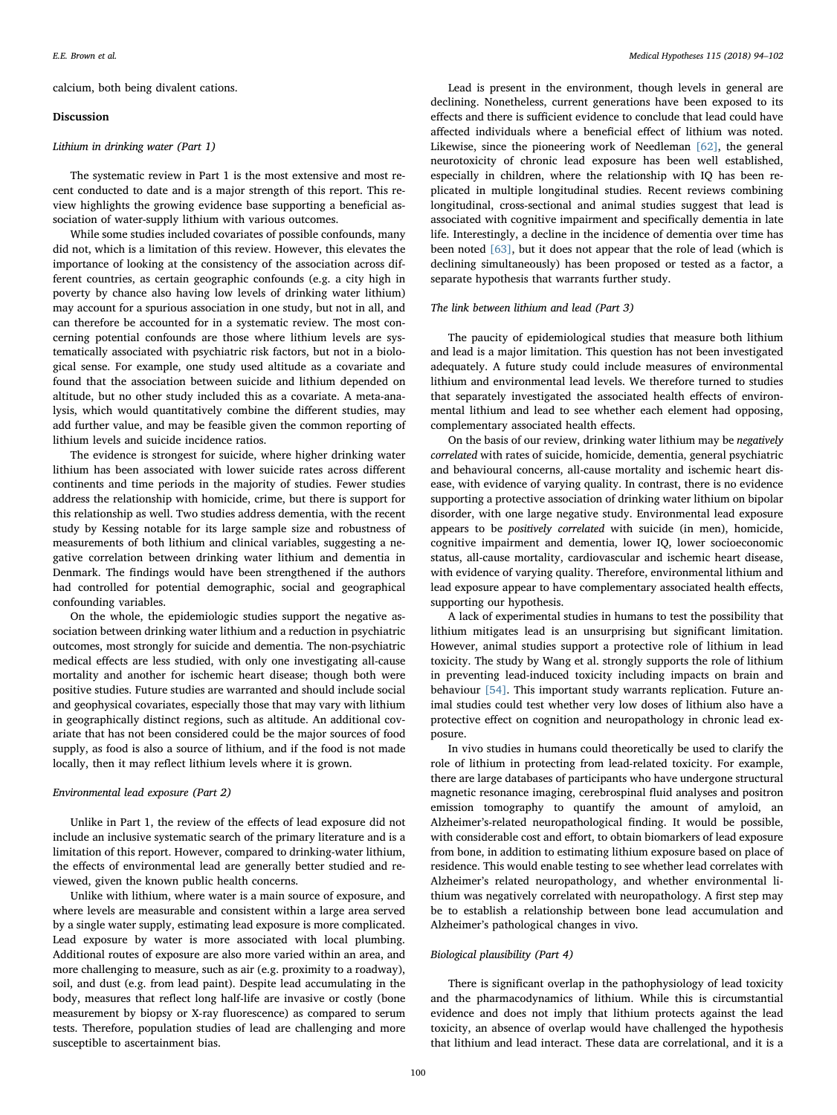calcium, both being divalent cations.

#### Discussion

#### Lithium in drinking water (Part 1)

The systematic review in Part 1 is the most extensive and most recent conducted to date and is a major strength of this report. This review highlights the growing evidence base supporting a beneficial association of water-supply lithium with various outcomes.

While some studies included covariates of possible confounds, many did not, which is a limitation of this review. However, this elevates the importance of looking at the consistency of the association across different countries, as certain geographic confounds (e.g. a city high in poverty by chance also having low levels of drinking water lithium) may account for a spurious association in one study, but not in all, and can therefore be accounted for in a systematic review. The most concerning potential confounds are those where lithium levels are systematically associated with psychiatric risk factors, but not in a biological sense. For example, one study used altitude as a covariate and found that the association between suicide and lithium depended on altitude, but no other study included this as a covariate. A meta-analysis, which would quantitatively combine the different studies, may add further value, and may be feasible given the common reporting of lithium levels and suicide incidence ratios.

The evidence is strongest for suicide, where higher drinking water lithium has been associated with lower suicide rates across different continents and time periods in the majority of studies. Fewer studies address the relationship with homicide, crime, but there is support for this relationship as well. Two studies address dementia, with the recent study by Kessing notable for its large sample size and robustness of measurements of both lithium and clinical variables, suggesting a negative correlation between drinking water lithium and dementia in Denmark. The findings would have been strengthened if the authors had controlled for potential demographic, social and geographical confounding variables.

On the whole, the epidemiologic studies support the negative association between drinking water lithium and a reduction in psychiatric outcomes, most strongly for suicide and dementia. The non-psychiatric medical effects are less studied, with only one investigating all-cause mortality and another for ischemic heart disease; though both were positive studies. Future studies are warranted and should include social and geophysical covariates, especially those that may vary with lithium in geographically distinct regions, such as altitude. An additional covariate that has not been considered could be the major sources of food supply, as food is also a source of lithium, and if the food is not made locally, then it may reflect lithium levels where it is grown.

# Environmental lead exposure (Part 2)

Unlike in Part 1, the review of the effects of lead exposure did not include an inclusive systematic search of the primary literature and is a limitation of this report. However, compared to drinking-water lithium, the effects of environmental lead are generally better studied and reviewed, given the known public health concerns.

Unlike with lithium, where water is a main source of exposure, and where levels are measurable and consistent within a large area served by a single water supply, estimating lead exposure is more complicated. Lead exposure by water is more associated with local plumbing. Additional routes of exposure are also more varied within an area, and more challenging to measure, such as air (e.g. proximity to a roadway), soil, and dust (e.g. from lead paint). Despite lead accumulating in the body, measures that reflect long half-life are invasive or costly (bone measurement by biopsy or X-ray fluorescence) as compared to serum tests. Therefore, population studies of lead are challenging and more susceptible to ascertainment bias.

Lead is present in the environment, though levels in general are declining. Nonetheless, current generations have been exposed to its effects and there is sufficient evidence to conclude that lead could have affected individuals where a beneficial effect of lithium was noted. Likewise, since the pioneering work of Needleman [\[62\]](#page-8-50), the general neurotoxicity of chronic lead exposure has been well established, especially in children, where the relationship with IQ has been replicated in multiple longitudinal studies. Recent reviews combining longitudinal, cross-sectional and animal studies suggest that lead is associated with cognitive impairment and specifically dementia in late life. Interestingly, a decline in the incidence of dementia over time has been noted [\[63\]](#page-8-17), but it does not appear that the role of lead (which is declining simultaneously) has been proposed or tested as a factor, a separate hypothesis that warrants further study.

## The link between lithium and lead (Part 3)

The paucity of epidemiological studies that measure both lithium and lead is a major limitation. This question has not been investigated adequately. A future study could include measures of environmental lithium and environmental lead levels. We therefore turned to studies that separately investigated the associated health effects of environmental lithium and lead to see whether each element had opposing, complementary associated health effects.

On the basis of our review, drinking water lithium may be negatively correlated with rates of suicide, homicide, dementia, general psychiatric and behavioural concerns, all-cause mortality and ischemic heart disease, with evidence of varying quality. In contrast, there is no evidence supporting a protective association of drinking water lithium on bipolar disorder, with one large negative study. Environmental lead exposure appears to be positively correlated with suicide (in men), homicide, cognitive impairment and dementia, lower IQ, lower socioeconomic status, all-cause mortality, cardiovascular and ischemic heart disease, with evidence of varying quality. Therefore, environmental lithium and lead exposure appear to have complementary associated health effects, supporting our hypothesis.

A lack of experimental studies in humans to test the possibility that lithium mitigates lead is an unsurprising but significant limitation. However, animal studies support a protective role of lithium in lead toxicity. The study by Wang et al. strongly supports the role of lithium in preventing lead-induced toxicity including impacts on brain and behaviour [\[54\].](#page-8-45) This important study warrants replication. Future animal studies could test whether very low doses of lithium also have a protective effect on cognition and neuropathology in chronic lead exposure.

In vivo studies in humans could theoretically be used to clarify the role of lithium in protecting from lead-related toxicity. For example, there are large databases of participants who have undergone structural magnetic resonance imaging, cerebrospinal fluid analyses and positron emission tomography to quantify the amount of amyloid, an Alzheimer's-related neuropathological finding. It would be possible, with considerable cost and effort, to obtain biomarkers of lead exposure from bone, in addition to estimating lithium exposure based on place of residence. This would enable testing to see whether lead correlates with Alzheimer's related neuropathology, and whether environmental lithium was negatively correlated with neuropathology. A first step may be to establish a relationship between bone lead accumulation and Alzheimer's pathological changes in vivo.

# Biological plausibility (Part 4)

There is significant overlap in the pathophysiology of lead toxicity and the pharmacodynamics of lithium. While this is circumstantial evidence and does not imply that lithium protects against the lead toxicity, an absence of overlap would have challenged the hypothesis that lithium and lead interact. These data are correlational, and it is a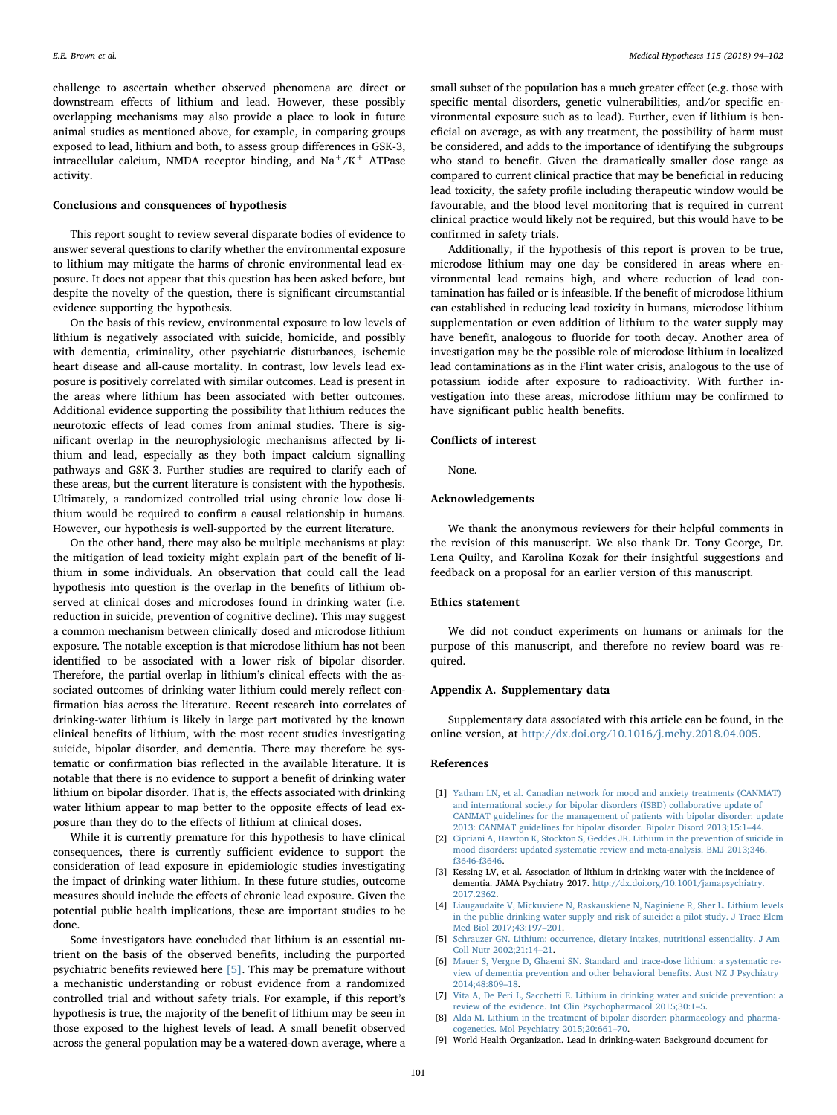challenge to ascertain whether observed phenomena are direct or downstream effects of lithium and lead. However, these possibly overlapping mechanisms may also provide a place to look in future animal studies as mentioned above, for example, in comparing groups exposed to lead, lithium and both, to assess group differences in GSK-3, intracellular calcium, NMDA receptor binding, and  $Na^+/K^+$  ATPase activity.

# Conclusions and consquences of hypothesis

This report sought to review several disparate bodies of evidence to answer several questions to clarify whether the environmental exposure to lithium may mitigate the harms of chronic environmental lead exposure. It does not appear that this question has been asked before, but despite the novelty of the question, there is significant circumstantial evidence supporting the hypothesis.

On the basis of this review, environmental exposure to low levels of lithium is negatively associated with suicide, homicide, and possibly with dementia, criminality, other psychiatric disturbances, ischemic heart disease and all-cause mortality. In contrast, low levels lead exposure is positively correlated with similar outcomes. Lead is present in the areas where lithium has been associated with better outcomes. Additional evidence supporting the possibility that lithium reduces the neurotoxic effects of lead comes from animal studies. There is significant overlap in the neurophysiologic mechanisms affected by lithium and lead, especially as they both impact calcium signalling pathways and GSK-3. Further studies are required to clarify each of these areas, but the current literature is consistent with the hypothesis. Ultimately, a randomized controlled trial using chronic low dose lithium would be required to confirm a causal relationship in humans. However, our hypothesis is well-supported by the current literature.

On the other hand, there may also be multiple mechanisms at play: the mitigation of lead toxicity might explain part of the benefit of lithium in some individuals. An observation that could call the lead hypothesis into question is the overlap in the benefits of lithium observed at clinical doses and microdoses found in drinking water (i.e. reduction in suicide, prevention of cognitive decline). This may suggest a common mechanism between clinically dosed and microdose lithium exposure. The notable exception is that microdose lithium has not been identified to be associated with a lower risk of bipolar disorder. Therefore, the partial overlap in lithium's clinical effects with the associated outcomes of drinking water lithium could merely reflect confirmation bias across the literature. Recent research into correlates of drinking-water lithium is likely in large part motivated by the known clinical benefits of lithium, with the most recent studies investigating suicide, bipolar disorder, and dementia. There may therefore be systematic or confirmation bias reflected in the available literature. It is notable that there is no evidence to support a benefit of drinking water lithium on bipolar disorder. That is, the effects associated with drinking water lithium appear to map better to the opposite effects of lead exposure than they do to the effects of lithium at clinical doses.

While it is currently premature for this hypothesis to have clinical consequences, there is currently sufficient evidence to support the consideration of lead exposure in epidemiologic studies investigating the impact of drinking water lithium. In these future studies, outcome measures should include the effects of chronic lead exposure. Given the potential public health implications, these are important studies to be done.

Some investigators have concluded that lithium is an essential nutrient on the basis of the observed benefits, including the purported psychiatric benefits reviewed here [\[5\]](#page-7-3). This may be premature without a mechanistic understanding or robust evidence from a randomized controlled trial and without safety trials. For example, if this report's hypothesis is true, the majority of the benefit of lithium may be seen in those exposed to the highest levels of lead. A small benefit observed across the general population may be a watered-down average, where a small subset of the population has a much greater effect (e.g. those with specific mental disorders, genetic vulnerabilities, and/or specific environmental exposure such as to lead). Further, even if lithium is beneficial on average, as with any treatment, the possibility of harm must be considered, and adds to the importance of identifying the subgroups who stand to benefit. Given the dramatically smaller dose range as compared to current clinical practice that may be beneficial in reducing lead toxicity, the safety profile including therapeutic window would be favourable, and the blood level monitoring that is required in current clinical practice would likely not be required, but this would have to be confirmed in safety trials.

Additionally, if the hypothesis of this report is proven to be true, microdose lithium may one day be considered in areas where environmental lead remains high, and where reduction of lead contamination has failed or is infeasible. If the benefit of microdose lithium can established in reducing lead toxicity in humans, microdose lithium supplementation or even addition of lithium to the water supply may have benefit, analogous to fluoride for tooth decay. Another area of investigation may be the possible role of microdose lithium in localized lead contaminations as in the Flint water crisis, analogous to the use of potassium iodide after exposure to radioactivity. With further investigation into these areas, microdose lithium may be confirmed to have significant public health benefits.

# Conflicts of interest

None.

#### Acknowledgements

We thank the anonymous reviewers for their helpful comments in the revision of this manuscript. We also thank Dr. Tony George, Dr. Lena Quilty, and Karolina Kozak for their insightful suggestions and feedback on a proposal for an earlier version of this manuscript.

# Ethics statement

We did not conduct experiments on humans or animals for the purpose of this manuscript, and therefore no review board was required.

#### Appendix A. Supplementary data

Supplementary data associated with this article can be found, in the online version, at [http://dx.doi.org/10.1016/j.mehy.2018.04.005.](http://dx.doi.org/10.1016/j.mehy.2018.04.005)

#### References

- <span id="page-7-0"></span>[1] [Yatham LN, et al. Canadian network for mood and anxiety treatments \(CANMAT\)](http://refhub.elsevier.com/S0306-9877(18)30060-4/h0005) [and international society for bipolar disorders \(ISBD\) collaborative update of](http://refhub.elsevier.com/S0306-9877(18)30060-4/h0005) [CANMAT guidelines for the management of patients with bipolar disorder: update](http://refhub.elsevier.com/S0306-9877(18)30060-4/h0005) [2013: CANMAT guidelines for bipolar disorder. Bipolar Disord 2013;15:1](http://refhub.elsevier.com/S0306-9877(18)30060-4/h0005)–44.
- <span id="page-7-1"></span>[2] [Cipriani A, Hawton K, Stockton S, Geddes JR. Lithium in the prevention of suicide in](http://refhub.elsevier.com/S0306-9877(18)30060-4/h0010) [mood disorders: updated systematic review and meta-analysis. BMJ 2013;346.](http://refhub.elsevier.com/S0306-9877(18)30060-4/h0010) [f3646-f3646.](http://refhub.elsevier.com/S0306-9877(18)30060-4/h0010)
- <span id="page-7-2"></span>[3] Kessing LV, et al. Association of lithium in drinking water with the incidence of dementia. JAMA Psychiatry 2017. [http://dx.doi.org/10.1001/jamapsychiatry.](http://dx.doi.org/10.1001/jamapsychiatry.2017.2362) [2017.2362.](http://dx.doi.org/10.1001/jamapsychiatry.2017.2362)
- <span id="page-7-8"></span>[4] [Liaugaudaite V, Mickuviene N, Raskauskiene N, Naginiene R, Sher L. Lithium levels](http://refhub.elsevier.com/S0306-9877(18)30060-4/h0020) [in the public drinking water supply and risk of suicide: a pilot study. J Trace Elem](http://refhub.elsevier.com/S0306-9877(18)30060-4/h0020) [Med Biol 2017;43:197](http://refhub.elsevier.com/S0306-9877(18)30060-4/h0020)–201.
- <span id="page-7-3"></span>[5] [Schrauzer GN. Lithium: occurrence, dietary intakes, nutritional essentiality. J Am](http://refhub.elsevier.com/S0306-9877(18)30060-4/h0025) [Coll Nutr 2002;21:14](http://refhub.elsevier.com/S0306-9877(18)30060-4/h0025)–21.
- <span id="page-7-4"></span>[6] [Mauer S, Vergne D, Ghaemi SN. Standard and trace-dose lithium: a systematic re](http://refhub.elsevier.com/S0306-9877(18)30060-4/h0030)[view of dementia prevention and other behavioral bene](http://refhub.elsevier.com/S0306-9877(18)30060-4/h0030)fits. Aust NZ J Psychiatry [2014;48:809](http://refhub.elsevier.com/S0306-9877(18)30060-4/h0030)–18.
- <span id="page-7-7"></span>[7] [Vita A, De Peri L, Sacchetti E. Lithium in drinking water and suicide prevention: a](http://refhub.elsevier.com/S0306-9877(18)30060-4/h0035) [review of the evidence. Int Clin Psychopharmacol 2015;30:1](http://refhub.elsevier.com/S0306-9877(18)30060-4/h0035)–5.
- <span id="page-7-5"></span>[8] [Alda M. Lithium in the treatment of bipolar disorder: pharmacology and pharma](http://refhub.elsevier.com/S0306-9877(18)30060-4/h0040)[cogenetics. Mol Psychiatry 2015;20:661](http://refhub.elsevier.com/S0306-9877(18)30060-4/h0040)–70.
- <span id="page-7-6"></span>[9] World Health Organization. Lead in drinking-water: Background document for